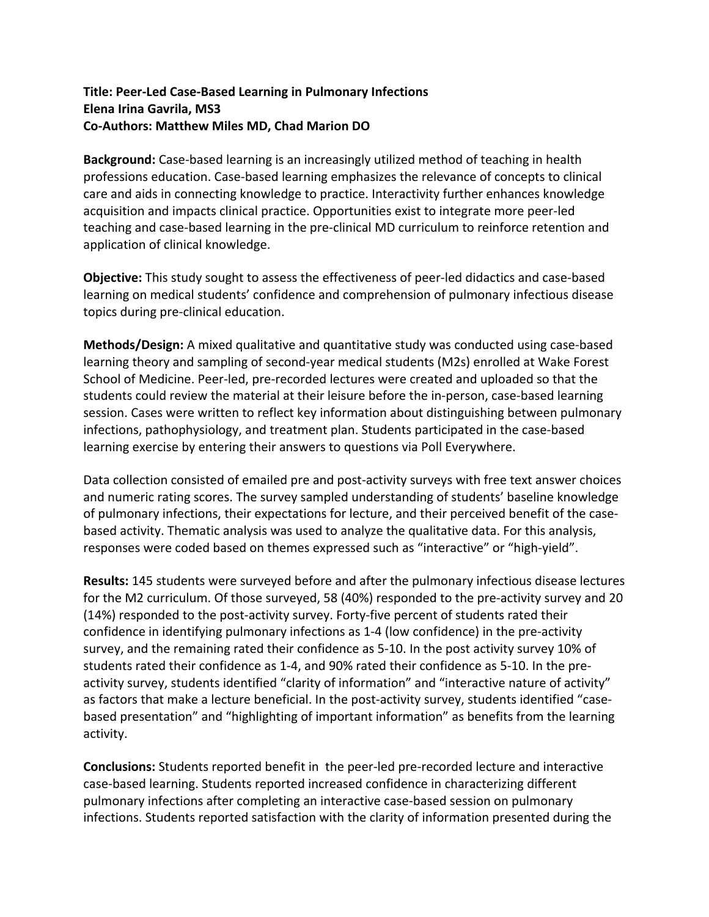## **Title: Peer‐Led Case‐Based Learning in Pulmonary Infections Elena Irina Gavrila, MS3 Co‐Authors: Matthew Miles MD, Chad Marion DO**

Background: Case-based learning is an increasingly utilized method of teaching in health professions education. Case‐based learning emphasizes the relevance of concepts to clinical care and aids in connecting knowledge to practice. Interactivity further enhances knowledge acquisition and impacts clinical practice. Opportunities exist to integrate more peer‐led teaching and case‐based learning in the pre‐clinical MD curriculum to reinforce retention and application of clinical knowledge.

**Objective:** This study sought to assess the effectiveness of peer-led didactics and case-based learning on medical students' confidence and comprehension of pulmonary infectious disease topics during pre‐clinical education.

**Methods/Design:** A mixed qualitative and quantitative study was conducted using case‐based learning theory and sampling of second‐year medical students (M2s) enrolled at Wake Forest School of Medicine. Peer‐led, pre‐recorded lectures were created and uploaded so that the students could review the material at their leisure before the in‐person, case‐based learning session. Cases were written to reflect key information about distinguishing between pulmonary infections, pathophysiology, and treatment plan. Students participated in the case‐based learning exercise by entering their answers to questions via Poll Everywhere.

Data collection consisted of emailed pre and post-activity surveys with free text answer choices and numeric rating scores. The survey sampled understanding of students' baseline knowledge of pulmonary infections, their expectations for lecture, and their perceived benefit of the case‐ based activity. Thematic analysis was used to analyze the qualitative data. For this analysis, responses were coded based on themes expressed such as "interactive" or "high-yield".

**Results:** 145 students were surveyed before and after the pulmonary infectious disease lectures for the M2 curriculum. Of those surveyed, 58 (40%) responded to the pre-activity survey and 20 (14%) responded to the post‐activity survey. Forty‐five percent of students rated their confidence in identifying pulmonary infections as 1‐4 (low confidence) in the pre‐activity survey, and the remaining rated their confidence as 5-10. In the post activity survey 10% of students rated their confidence as 1‐4, and 90% rated their confidence as 5‐10. In the pre‐ activity survey, students identified "clarity of information" and "interactive nature of activity" as factors that make a lecture beneficial. In the post-activity survey, students identified "casebased presentation" and "highlighting of important information" as benefits from the learning activity.

**Conclusions:** Students reported benefit in the peer‐led pre‐recorded lecture and interactive case‐based learning. Students reported increased confidence in characterizing different pulmonary infections after completing an interactive case‐based session on pulmonary infections. Students reported satisfaction with the clarity of information presented during the